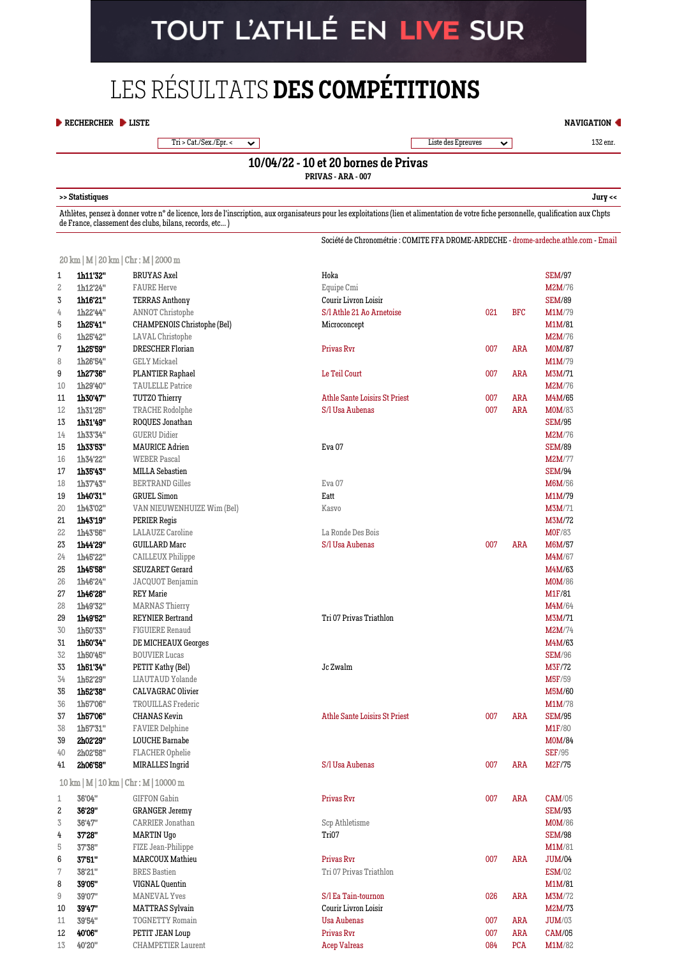# TOUT L'ATHLÉ EN LIVE SUR

## LES RÉSULTATS **DES COMPÉTITIONS**

#### **[RECHERCHER](https://bases.athle.fr/asp.net/accueil.aspx?frmbase=resultats&frmmode=1&frmespace=0) [LISTE](https://bases.athle.fr/asp.net/accueil.aspx?frmbase=resultats&frmmode=0&frmespace=0)**

Tri > Cat./Sex./Epr. <  $\sim$  132 enr. 132 enr. 132 enr. 132 enr. 132 enr. 132 enr. 132 enr. 132 enr. 132 enr. 132 enr. 132 enr. 132 enr. 132 enr. 132 enr. 132 enr. 132 enr. 132 enr. 132 enr. 132 enr. 132 enr. 132 enr. 132 e

**[NAVIGATION](javascript:SlideDiv()**

### **10/04/22 - 10 et 20 bornes de Privas**

**PRIVAS - ARA - 007**

#### **>> [Statistiques](javascript:mainPopupParameters() [Jury](javascript:mainPopupParameters() <<**

Athlètes, pensez à donner votre n° de licence, lors de l'inscription, aux organisateurs pour les exploitations (lien et alimentation de votre fiche personnelle, qualification aux Chpts de France, classement des clubs, bilans, records, etc... )

Société de Chronométrie : COMITE FFA DROME-ARDECHE - [drome-ardeche.athle.com](http://drome-ardeche.athle.com/) - [Email](mailto:cdchs@athle2607.fr)

[20 km](https://bases.athle.fr/asp.net/liste.aspx?frmbase=records&frmmode=2&frmespace=0&frmcompetition=255469&frmepreuve=003&frmsexe=M&frmserie=20%20km) | M | 20 km | Chr : M | 2000 m

| 1              | 1h11'32"                                  | <b>BRUYAS Axel</b>          | Hoka                          |     |            | <b>SEM/97</b> |
|----------------|-------------------------------------------|-----------------------------|-------------------------------|-----|------------|---------------|
| $\overline{c}$ | 1h12'24"                                  | <b>FAURE Herve</b>          | Equipe Cmi                    |     |            | M2M/76        |
| 3              | 1h16'21"                                  | <b>TERRAS Anthony</b>       | Courir Livron Loisir          |     |            | <b>SEM/89</b> |
| 4              | 1h22'44"                                  | <b>ANNOT Christophe</b>     | S/l Athle 21 Ao Arnetoise     | 021 | <b>BFC</b> | M1M/79        |
| 5              | 1h25'41"                                  | CHAMPENOIS Christophe (Bel) | Microconcept                  |     |            | M1M/81        |
| 6              | 1h25'42"                                  | LAVAL Christophe            |                               |     |            | <b>M2M/76</b> |
| 7              | 1h25'59"                                  | DRESCHER Florian            | Privas Rvr                    | 007 | ARA        | M0M/87        |
| 8              | 1h26'54"                                  | <b>GELY Mickael</b>         |                               |     |            | <b>M1M/79</b> |
| 9              | 1h27'36"                                  | PLANTIER Raphael            | Le Teil Court                 | 007 | <b>ARA</b> | M3M/71        |
| 10             | 1h29'40"                                  | <b>TAULELLE Patrice</b>     |                               |     |            | <b>M2M/76</b> |
| 11             | 1h30'47"                                  | TUTZO Thierry               | Athle Sante Loisirs St Priest | 007 | <b>ARA</b> | M4M/65        |
| 12             | 1h31'25"                                  | TRACHE Rodolphe             | S/l Usa Aubenas               | 007 | <b>ARA</b> | <b>M0M/83</b> |
| 13             | 1h31'49"                                  | ROQUES Jonathan             |                               |     |            | <b>SEM/95</b> |
| 14             | 1h33'34"                                  | <b>GUERU Didier</b>         |                               |     |            | <b>M2M/76</b> |
| 15             | 1h33'53"                                  | <b>MAURICE Adrien</b>       | Eva <sub>07</sub>             |     |            | <b>SEM/89</b> |
| 16             | 1h34'22"                                  | <b>WEBER Pascal</b>         |                               |     |            | <b>M2M/77</b> |
| 17             | 1h35'43"                                  | MILLA Sebastien             |                               |     |            | <b>SEM/94</b> |
| 18             | 1h37'43"                                  | <b>BERTRAND Gilles</b>      | Eva <sub>07</sub>             |     |            | <b>M6M/56</b> |
| 19             | 1h40'31"                                  | <b>GRUEL Simon</b>          | Eatt                          |     |            | M1M/79        |
| 20             | 1h43'02"                                  | VAN NIEUWENHUIZE Wim (Bel)  | Kasvo                         |     |            | M3M/71        |
| 21             | 1h43'19"                                  | PERIER Regis                |                               |     |            | M3M/72        |
| 22             | 1h43'56"                                  | <b>LALAUZE</b> Caroline     | La Ronde Des Bois             |     |            | <b>MOF/83</b> |
| 23             | 1h44'29"                                  | <b>GUILLARD Marc</b>        | S/l Usa Aubenas               | 007 | <b>ARA</b> | M6M/57        |
| 24             | 1h45'22"                                  | <b>CAILLEUX Philippe</b>    |                               |     |            | M4M/67        |
| 25             | 1h45'58"                                  | SEUZARET Gerard             |                               |     |            | M4M/63        |
| 26             | 1h46'24"                                  | JACQUOT Benjamin            |                               |     |            | <b>M0M/86</b> |
| 27             | 1h46'28"                                  | <b>REY Marie</b>            |                               |     |            | M1F/81        |
| 28             | 1h49'32"                                  | <b>MARNAS Thierry</b>       |                               |     |            | M4M/64        |
| 29             | 1h49'52"                                  | <b>REYNIER Bertrand</b>     | Tri 07 Privas Triathlon       |     |            | M3M/71        |
| 30             | 1h50'33"                                  | <b>FIGUIERE Renaud</b>      |                               |     |            | M2M/74        |
| 31             | 1h50'34"                                  | DE MICHEAUX Georges         |                               |     |            | M4M/63        |
| 32             | 1h50'45"                                  | <b>BOUVIER Lucas</b>        |                               |     |            | <b>SEM/96</b> |
| 33             | 1h51'34"                                  | PETIT Kathy (Bel)           | Jc Zwalm                      |     |            | M3F/72        |
| 34             | 1h52'29"                                  | LIAUTAUD Yolande            |                               |     |            | <b>M5F/59</b> |
| 35             | 1h52'38"                                  | CALVAGRAC Olivier           |                               |     |            | M5M/60        |
| 36             | 1h57'06"                                  | TROUILLAS Frederic          |                               |     |            | <b>M1M/78</b> |
| 37             | 1h57'06''                                 | <b>CHANAS</b> Kevin         | Athle Sante Loisirs St Priest | 007 | ARA        | <b>SEM/95</b> |
| 38             | 1h57'31"                                  | <b>FAVIER Delphine</b>      |                               |     |            | <b>M1F/80</b> |
| 39             | 2h02'29"                                  | LOUCHE Barnabe              |                               |     |            | M0M/84        |
| 40             | 2h02'58"                                  | FLACHER Ophelie             |                               |     |            | <b>SEF/95</b> |
| 41             | 2h06'58"                                  | MIRALLES Ingrid             | S/l Usa Aubenas               | 007 | <b>ARA</b> | M2F/75        |
|                | 10 km   M   10 km   Chr : M   10000 m     |                             |                               |     |            |               |
| $\mathbf 1$    | 36'04"                                    | <b>GIFFON Gabin</b>         | Privas Rvr                    | 007 | ARA        | CAM/05        |
| 2              | 36'29"                                    | <b>GRANGER Jeremy</b>       |                               |     |            | <b>SEM/93</b> |
| $\,$ 3         | 36'47"                                    | CARRIER Jonathan            | Scp Athletisme                |     |            | <b>M0M/86</b> |
| 4              | 37'28"                                    | <b>MARTIN Ugo</b>           | Tri07                         |     |            | <b>SEM/98</b> |
| 5              | $37^\circ\hspace{-3pt}.38^{\prime\prime}$ | FIZE Jean-Philippe          |                               |     |            | <b>M1M/81</b> |
| 6              | 37'51"                                    | <b>MARCOUX Mathieu</b>      | Privas Rvr                    | 007 | ARA        | <b>JUM/04</b> |
| 7              | 38'21"                                    | <b>BRES</b> Bastien         | Tri 07 Privas Triathlon       |     |            | <b>ESM/02</b> |
| 8              | 39'05"                                    | VIGNAL Quentin              |                               |     |            | M1M/81        |
| 9              | 39'07"                                    | <b>MANEVAL Yves</b>         | S/l Ea Tain-tournon           | 026 | <b>ARA</b> | <b>M3M/72</b> |
| 10             | 39'47"                                    | <b>MATTRAS Sylvain</b>      | Courir Livron Loisir          |     |            | M2M/73        |
| 11             | 39'54"                                    | <b>TOGNETTY Romain</b>      | <b>Usa Aubenas</b>            | 007 | <b>ARA</b> | <b>JUM/03</b> |
| 12             | 40'06"                                    | PETIT JEAN Loup             | Privas Rvr                    | 007 | ARA        | CAM/05        |
| 13             | 40'20"                                    | <b>CHAMPETIER Laurent</b>   | <b>Acep Valreas</b>           | 084 | <b>PCA</b> | <b>M1M/82</b> |
|                |                                           |                             |                               |     |            |               |